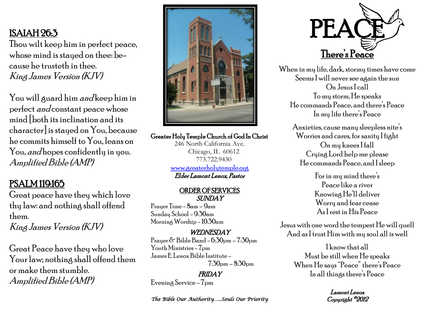# ISAIAH 26:3

Thou wilt keep him in perfect peace, whose mind is stayed on thee: because he trusteth in thee. King James Version (KJV)

You will guard him *and* keep him in perfect and constant peace whose mind [both its inclination and its character] is stayed on You, because he commits himself to You, leans on You, *and* hopes confidently in you. Amplified Bible (AMP)

## PSALM 119:165

Great peace have they which love thy law: and nothing shall offend them.

King James Version (KJV)

Great Peace have they who love Your law; nothing shall offend them or make them stumble. Amplified Bible (AMP)



Greater Holy Temple Church of God In Christ

246 North California Ave. Chicago, IL 60612 773.722.9430 [www.greaterholytemple.org](http://www.greaterholytemple.org) Elder Lamont Lenox, Pastor

#### ORDER OF SERVICES SUNDAY

Prayer Time - 8am – 9am Sunday School - 9:30am Morning Worship - 10:30am

### WEDNESDAY

Prayer  $\delta$  Bible Band -  $6.30$ pm -  $7.30$ pm Youth Ministries -  $7$ pm James E. Lenox Bible Institute - 7:30pm – 8:30pm

FRIDAY Evening Service - 7pm

*The Bible Our Authority…..Souls Our Priority* 



When in my life, dark, stormy times have come Seems I will never see again the sun On Jesus I call To my storm, He speaks He commands Peace, and there's Peace In my life there's Peace

Anxieties, cause many sleepless nite's Worries and cares, for sanity I fight On my knees I fall Crying Lord help me please He commands Peace, and I sleep

> For in my mind there's Peace like a river Knowing He'll deliver Worry and fear cease As I rest in His Peace

Jesus with one word the tempest He will quell And as I trust Him with my soul all is well

> I know that all Must be still when He speaks When He says "Peace" there's Peace In all things there's Peace

> > Lamont Lenox Copyright ©2012